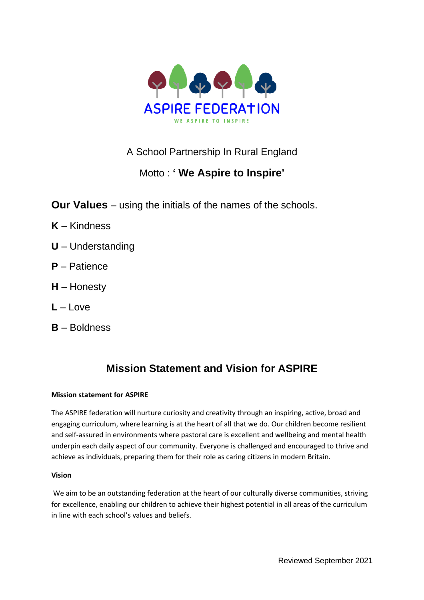

# A School Partnership In Rural England

# Motto : **' We Aspire to Inspire'**

**Our Values** – using the initials of the names of the schools.

- **K** Kindness
- **U** Understanding
- **P** Patience
- **H** Honesty
- $L L$ ove
- **B** Boldness

# **Mission Statement and Vision for ASPIRE**

## **Mission statement for ASPIRE**

The ASPIRE federation will nurture curiosity and creativity through an inspiring, active, broad and engaging curriculum, where learning is at the heart of all that we do. Our children become resilient and self-assured in environments where pastoral care is excellent and wellbeing and mental health underpin each daily aspect of our community. Everyone is challenged and encouraged to thrive and achieve as individuals, preparing them for their role as caring citizens in modern Britain.

## **Vision**

We aim to be an outstanding federation at the heart of our culturally diverse communities, striving for excellence, enabling our children to achieve their highest potential in all areas of the curriculum in line with each school's values and beliefs.